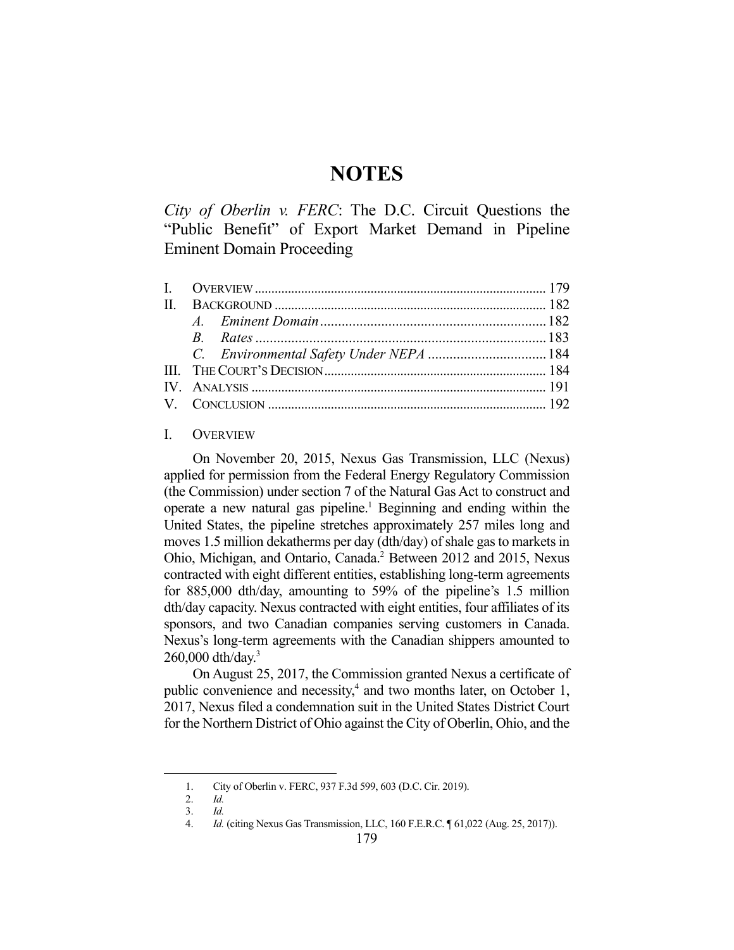# **NOTES**

*City of Oberlin v. FERC*: The D.C. Circuit Questions the "Public Benefit" of Export Market Demand in Pipeline Eminent Domain Proceeding

# I. OVERVIEW

 On November 20, 2015, Nexus Gas Transmission, LLC (Nexus) applied for permission from the Federal Energy Regulatory Commission (the Commission) under section 7 of the Natural Gas Act to construct and operate a new natural gas pipeline.<sup>1</sup> Beginning and ending within the United States, the pipeline stretches approximately 257 miles long and moves 1.5 million dekatherms per day (dth/day) of shale gas to markets in Ohio, Michigan, and Ontario, Canada.<sup>2</sup> Between 2012 and 2015, Nexus contracted with eight different entities, establishing long-term agreements for 885,000 dth/day, amounting to 59% of the pipeline's 1.5 million dth/day capacity. Nexus contracted with eight entities, four affiliates of its sponsors, and two Canadian companies serving customers in Canada. Nexus's long-term agreements with the Canadian shippers amounted to  $260,000$  dth/day.<sup>3</sup>

 On August 25, 2017, the Commission granted Nexus a certificate of public convenience and necessity,<sup>4</sup> and two months later, on October 1, 2017, Nexus filed a condemnation suit in the United States District Court for the Northern District of Ohio against the City of Oberlin, Ohio, and the

 <sup>1.</sup> City of Oberlin v. FERC, 937 F.3d 599, 603 (D.C. Cir. 2019).

 <sup>2.</sup> *Id.* 3. *Id.* 

 <sup>4.</sup> *Id.* (citing Nexus Gas Transmission, LLC, 160 F.E.R.C. ¶ 61,022 (Aug. 25, 2017)).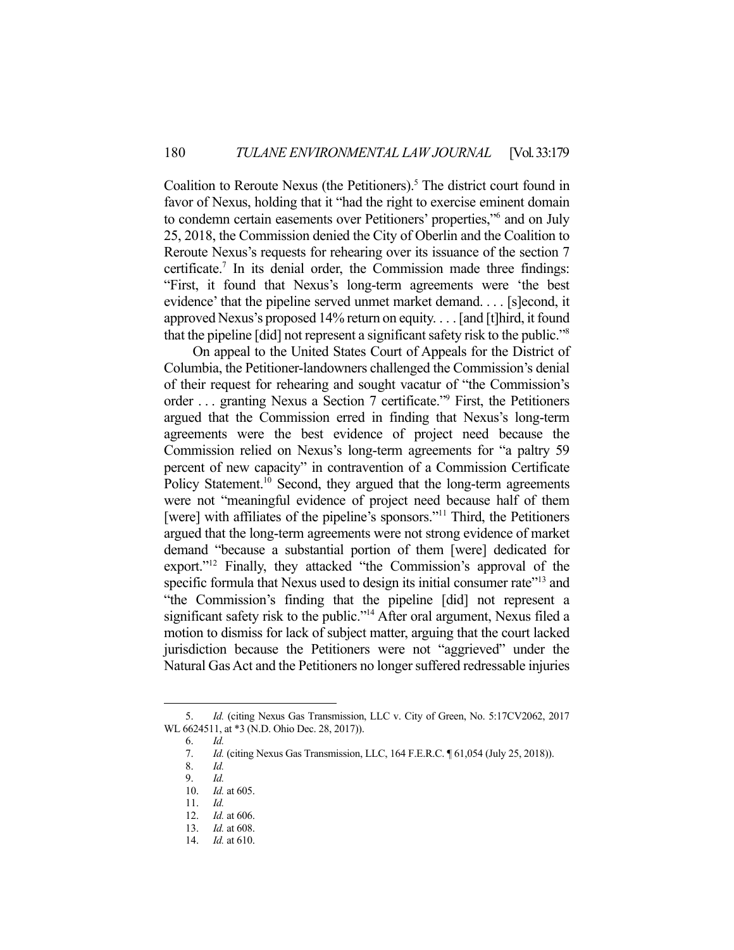Coalition to Reroute Nexus (the Petitioners).<sup>5</sup> The district court found in favor of Nexus, holding that it "had the right to exercise eminent domain to condemn certain easements over Petitioners' properties,"6 and on July 25, 2018, the Commission denied the City of Oberlin and the Coalition to Reroute Nexus's requests for rehearing over its issuance of the section 7 certificate.<sup>7</sup> In its denial order, the Commission made three findings: "First, it found that Nexus's long-term agreements were 'the best evidence' that the pipeline served unmet market demand. . . . [s]econd, it approved Nexus's proposed 14% return on equity. . . . [and [t]hird, it found that the pipeline [did] not represent a significant safety risk to the public."8

 On appeal to the United States Court of Appeals for the District of Columbia, the Petitioner-landowners challenged the Commission's denial of their request for rehearing and sought vacatur of "the Commission's order ... granting Nexus a Section 7 certificate."<sup>9</sup> First, the Petitioners argued that the Commission erred in finding that Nexus's long-term agreements were the best evidence of project need because the Commission relied on Nexus's long-term agreements for "a paltry 59 percent of new capacity" in contravention of a Commission Certificate Policy Statement.<sup>10</sup> Second, they argued that the long-term agreements were not "meaningful evidence of project need because half of them [were] with affiliates of the pipeline's sponsors."<sup>11</sup> Third, the Petitioners argued that the long-term agreements were not strong evidence of market demand "because a substantial portion of them [were] dedicated for export."<sup>12</sup> Finally, they attacked "the Commission's approval of the specific formula that Nexus used to design its initial consumer rate<sup>"13</sup> and "the Commission's finding that the pipeline [did] not represent a significant safety risk to the public."<sup>14</sup> After oral argument, Nexus filed a motion to dismiss for lack of subject matter, arguing that the court lacked jurisdiction because the Petitioners were not "aggrieved" under the Natural Gas Act and the Petitioners no longer suffered redressable injuries

 <sup>5.</sup> *Id.* (citing Nexus Gas Transmission, LLC v. City of Green, No. 5:17CV2062, 2017 WL 6624511, at \*3 (N.D. Ohio Dec. 28, 2017)).

 <sup>6.</sup> *Id.*

 <sup>7.</sup> *Id.* (citing Nexus Gas Transmission, LLC, 164 F.E.R.C. ¶ 61,054 (July 25, 2018)).

 <sup>8.</sup> *Id.* 

 <sup>9.</sup> *Id.*

 <sup>10.</sup> *Id.* at 605.

 <sup>11.</sup> *Id.*

 <sup>12.</sup> *Id.* at 606.

 <sup>13.</sup> *Id.* at 608.

 <sup>14.</sup> *Id.* at 610.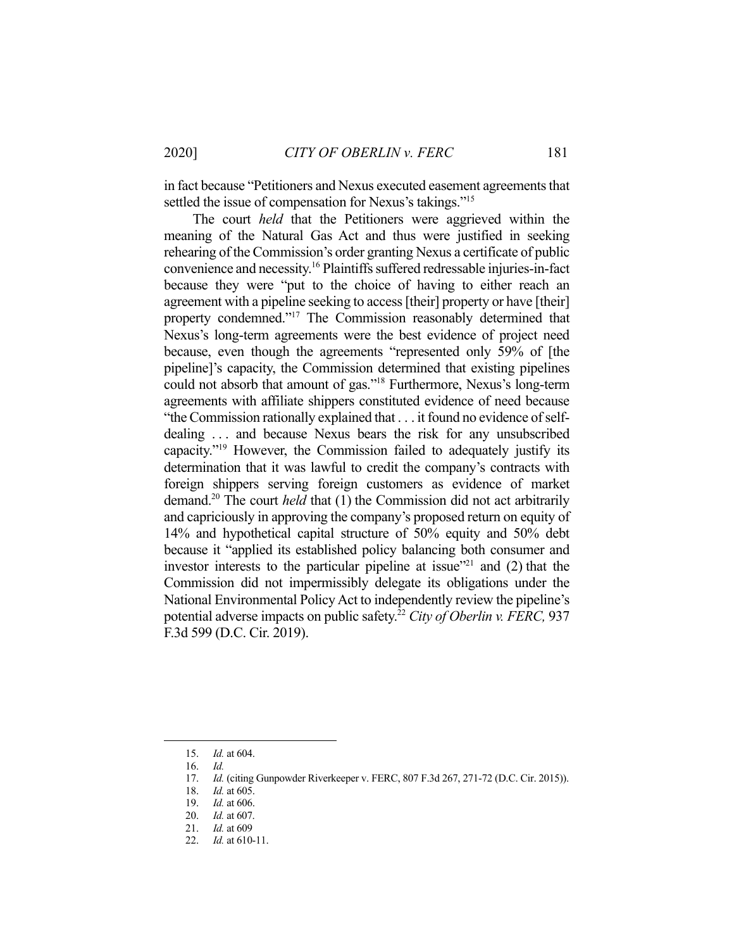in fact because "Petitioners and Nexus executed easement agreements that settled the issue of compensation for Nexus's takings."<sup>15</sup>

 The court *held* that the Petitioners were aggrieved within the meaning of the Natural Gas Act and thus were justified in seeking rehearing of the Commission's order granting Nexus a certificate of public convenience and necessity.16 Plaintiffs suffered redressable injuries-in-fact because they were "put to the choice of having to either reach an agreement with a pipeline seeking to access [their] property or have [their] property condemned."17 The Commission reasonably determined that Nexus's long-term agreements were the best evidence of project need because, even though the agreements "represented only 59% of [the pipeline]'s capacity, the Commission determined that existing pipelines could not absorb that amount of gas."18 Furthermore, Nexus's long-term agreements with affiliate shippers constituted evidence of need because "the Commission rationally explained that . . . it found no evidence of selfdealing ... and because Nexus bears the risk for any unsubscribed capacity."19 However, the Commission failed to adequately justify its determination that it was lawful to credit the company's contracts with foreign shippers serving foreign customers as evidence of market demand.20 The court *held* that (1) the Commission did not act arbitrarily and capriciously in approving the company's proposed return on equity of 14% and hypothetical capital structure of 50% equity and 50% debt because it "applied its established policy balancing both consumer and investor interests to the particular pipeline at issue $121$  and (2) that the Commission did not impermissibly delegate its obligations under the National Environmental Policy Act to independently review the pipeline's potential adverse impacts on public safety.22 *City of Oberlin v. FERC,* 937 F.3d 599 (D.C. Cir. 2019).

 <sup>15.</sup> *Id.* at 604.

 <sup>16.</sup> *Id.*

<sup>17.</sup> *Id.* (citing Gunpowder Riverkeeper v. FERC, 807 F.3d 267, 271-72 (D.C. Cir. 2015)).

 <sup>18.</sup> *Id.* at 605.

 <sup>19.</sup> *Id.* at 606.

 <sup>20.</sup> *Id.* at 607.

 <sup>21.</sup> *Id.* at 609

 <sup>22.</sup> *Id.* at 610-11.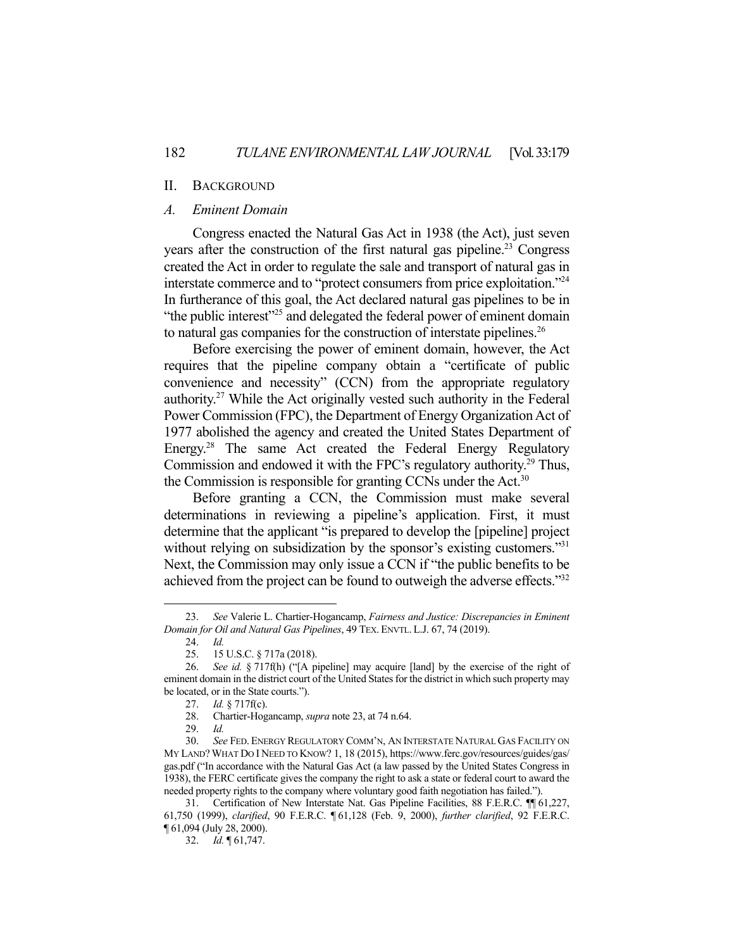#### II. BACKGROUND

### *A. Eminent Domain*

 Congress enacted the Natural Gas Act in 1938 (the Act), just seven years after the construction of the first natural gas pipeline.<sup>23</sup> Congress created the Act in order to regulate the sale and transport of natural gas in interstate commerce and to "protect consumers from price exploitation."24 In furtherance of this goal, the Act declared natural gas pipelines to be in "the public interest"<sup>25</sup> and delegated the federal power of eminent domain to natural gas companies for the construction of interstate pipelines.<sup>26</sup>

 Before exercising the power of eminent domain, however, the Act requires that the pipeline company obtain a "certificate of public convenience and necessity" (CCN) from the appropriate regulatory authority.27 While the Act originally vested such authority in the Federal Power Commission (FPC), the Department of Energy Organization Act of 1977 abolished the agency and created the United States Department of Energy.28 The same Act created the Federal Energy Regulatory Commission and endowed it with the FPC's regulatory authority.<sup>29</sup> Thus, the Commission is responsible for granting CCNs under the Act.<sup>30</sup>

 Before granting a CCN, the Commission must make several determinations in reviewing a pipeline's application. First, it must determine that the applicant "is prepared to develop the [pipeline] project without relying on subsidization by the sponsor's existing customers."<sup>31</sup> Next, the Commission may only issue a CCN if "the public benefits to be achieved from the project can be found to outweigh the adverse effects."<sup>32</sup>

 <sup>23.</sup> *See* Valerie L. Chartier-Hogancamp, *Fairness and Justice: Discrepancies in Eminent Domain for Oil and Natural Gas Pipelines*, 49 TEX. ENVTL. L.J. 67, 74 (2019).

 <sup>24.</sup> *Id.* 

 <sup>25. 15</sup> U.S.C. § 717a (2018).

 <sup>26.</sup> *See id.* § 717f(h) ("[A pipeline] may acquire [land] by the exercise of the right of eminent domain in the district court of the United States for the district in which such property may be located, or in the State courts.").

 <sup>27.</sup> *Id.* § 717f(c).

 <sup>28.</sup> Chartier-Hogancamp, *supra* note 23, at 74 n.64.

 <sup>29.</sup> *Id.* 

 <sup>30.</sup> *See* FED. ENERGY REGULATORY COMM'N, AN INTERSTATE NATURAL GAS FACILITY ON MY LAND? WHAT DO I NEED TO KNOW? 1, 18 (2015), https://www.ferc.gov/resources/guides/gas/ gas.pdf ("In accordance with the Natural Gas Act (a law passed by the United States Congress in 1938), the FERC certificate gives the company the right to ask a state or federal court to award the needed property rights to the company where voluntary good faith negotiation has failed.").

 <sup>31.</sup> Certification of New Interstate Nat. Gas Pipeline Facilities, 88 F.E.R.C. ¶¶ 61,227, 61,750 (1999), *clarified*, 90 F.E.R.C. ¶ 61,128 (Feb. 9, 2000), *further clarified*, 92 F.E.R.C. ¶ 61,094 (July 28, 2000).

 <sup>32.</sup> *Id.* ¶ 61,747.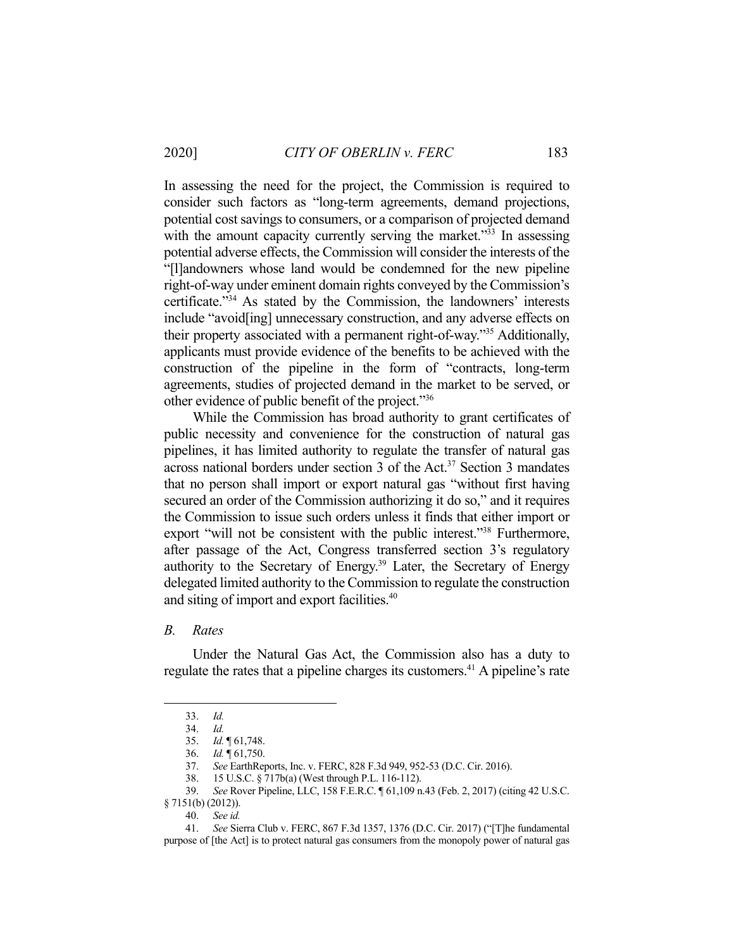In assessing the need for the project, the Commission is required to consider such factors as "long-term agreements, demand projections, potential cost savings to consumers, or a comparison of projected demand with the amount capacity currently serving the market."<sup>33</sup> In assessing potential adverse effects, the Commission will consider the interests of the "[l]andowners whose land would be condemned for the new pipeline right-of-way under eminent domain rights conveyed by the Commission's certificate."34 As stated by the Commission, the landowners' interests include "avoid[ing] unnecessary construction, and any adverse effects on their property associated with a permanent right-of-way."35 Additionally, applicants must provide evidence of the benefits to be achieved with the construction of the pipeline in the form of "contracts, long-term agreements, studies of projected demand in the market to be served, or other evidence of public benefit of the project."36

 While the Commission has broad authority to grant certificates of public necessity and convenience for the construction of natural gas pipelines, it has limited authority to regulate the transfer of natural gas across national borders under section 3 of the Act.37 Section 3 mandates that no person shall import or export natural gas "without first having secured an order of the Commission authorizing it do so," and it requires the Commission to issue such orders unless it finds that either import or export "will not be consistent with the public interest."<sup>38</sup> Furthermore, after passage of the Act, Congress transferred section 3's regulatory authority to the Secretary of Energy.<sup>39</sup> Later, the Secretary of Energy delegated limited authority to the Commission to regulate the construction and siting of import and export facilities.<sup>40</sup>

#### *B. Rates*

 Under the Natural Gas Act, the Commission also has a duty to regulate the rates that a pipeline charges its customers.<sup>41</sup> A pipeline's rate

 <sup>33.</sup> *Id.* 

 <sup>34.</sup> *Id.*

 <sup>35.</sup> *Id.* ¶ 61,748.

 <sup>36.</sup> *Id.* ¶ 61,750.

 <sup>37.</sup> *See* EarthReports, Inc. v. FERC, 828 F.3d 949, 952-53 (D.C. Cir. 2016).

 <sup>38. 15</sup> U.S.C. § 717b(a) (West through P.L. 116-112).

 <sup>39.</sup> *See* Rover Pipeline, LLC, 158 F.E.R.C. ¶ 61,109 n.43 (Feb. 2, 2017) (citing 42 U.S.C. § 7151(b) (2012)).

 <sup>40.</sup> *See id.*

 <sup>41.</sup> *See* Sierra Club v. FERC, 867 F.3d 1357, 1376 (D.C. Cir. 2017) ("[T]he fundamental purpose of [the Act] is to protect natural gas consumers from the monopoly power of natural gas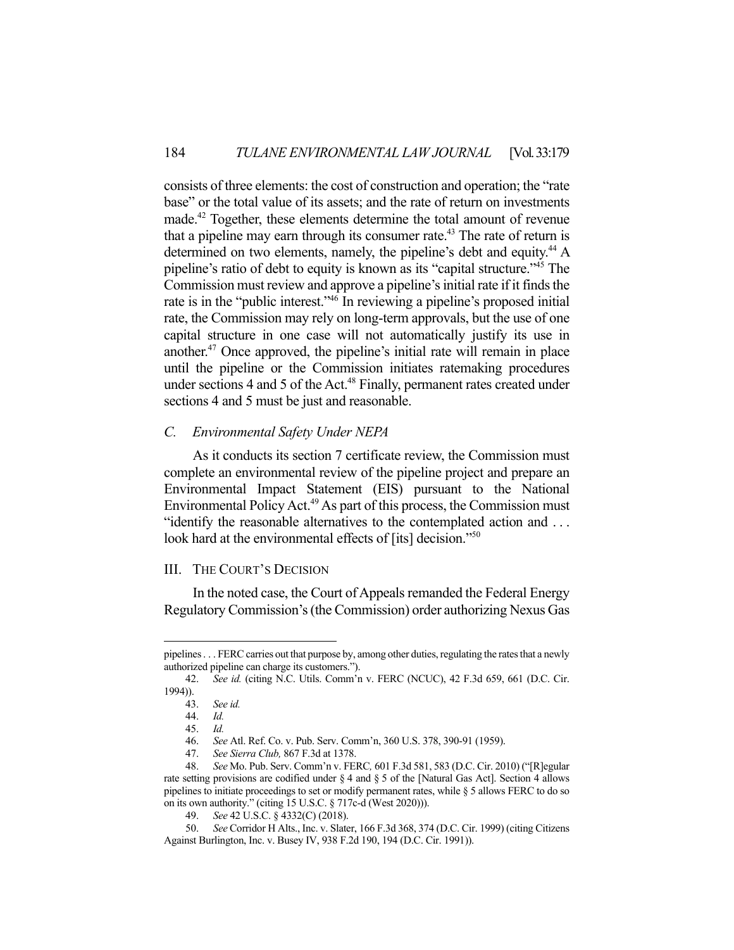consists of three elements: the cost of construction and operation; the "rate base" or the total value of its assets; and the rate of return on investments made.42 Together, these elements determine the total amount of revenue that a pipeline may earn through its consumer rate.<sup>43</sup> The rate of return is determined on two elements, namely, the pipeline's debt and equity.<sup>44</sup> A pipeline's ratio of debt to equity is known as its "capital structure."45 The Commission must review and approve a pipeline's initial rate if it finds the rate is in the "public interest."46 In reviewing a pipeline's proposed initial rate, the Commission may rely on long-term approvals, but the use of one capital structure in one case will not automatically justify its use in another.47 Once approved, the pipeline's initial rate will remain in place until the pipeline or the Commission initiates ratemaking procedures under sections 4 and 5 of the Act.<sup>48</sup> Finally, permanent rates created under sections 4 and 5 must be just and reasonable.

# *C. Environmental Safety Under NEPA*

 As it conducts its section 7 certificate review, the Commission must complete an environmental review of the pipeline project and prepare an Environmental Impact Statement (EIS) pursuant to the National Environmental Policy Act.<sup>49</sup> As part of this process, the Commission must "identify the reasonable alternatives to the contemplated action and . . . look hard at the environmental effects of [its] decision."<sup>50</sup>

# III. THE COURT'S DECISION

 In the noted case, the Court of Appeals remanded the Federal Energy Regulatory Commission's (the Commission) order authorizing Nexus Gas

pipelines . . . FERC carries out that purpose by, among other duties, regulating the rates that a newly authorized pipeline can charge its customers.").

 <sup>42.</sup> *See id.* (citing N.C. Utils. Comm'n v. FERC (NCUC), 42 F.3d 659, 661 (D.C. Cir. 1994)).

 <sup>43.</sup> *See id.*

 <sup>44.</sup> *Id.* 

 <sup>45.</sup> *Id.* 

 <sup>46.</sup> *See* Atl. Ref. Co. v. Pub. Serv. Comm'n, 360 U.S. 378, 390-91 (1959).

 <sup>47.</sup> *See Sierra Club,* 867 F.3d at 1378.

 <sup>48.</sup> *See* Mo. Pub. Serv. Comm'n v. FERC*,* 601 F.3d 581, 583 (D.C. Cir. 2010) ("[R]egular rate setting provisions are codified under § 4 and § 5 of the [Natural Gas Act]. Section 4 allows pipelines to initiate proceedings to set or modify permanent rates, while § 5 allows FERC to do so on its own authority." (citing 15 U.S.C. § 717c-d (West 2020))).

 <sup>49.</sup> *See* 42 U.S.C. § 4332(C) (2018).

 <sup>50.</sup> *See* Corridor H Alts., Inc. v. Slater, 166 F.3d 368, 374 (D.C. Cir. 1999) (citing Citizens Against Burlington, Inc. v. Busey IV, 938 F.2d 190, 194 (D.C. Cir. 1991)).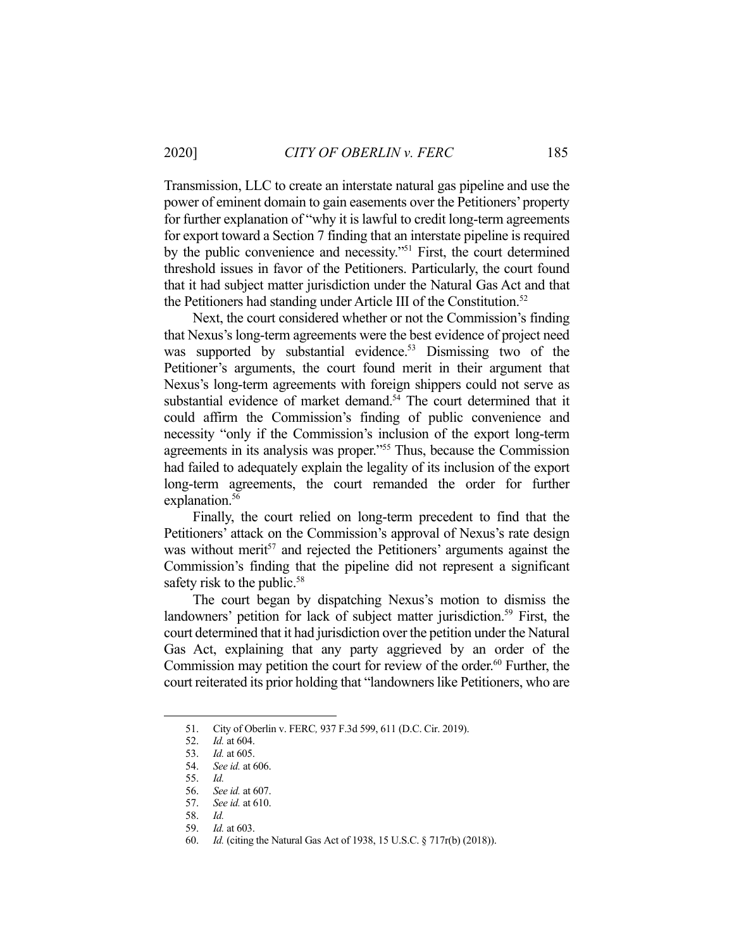Transmission, LLC to create an interstate natural gas pipeline and use the power of eminent domain to gain easements over the Petitioners' property for further explanation of "why it is lawful to credit long-term agreements for export toward a Section 7 finding that an interstate pipeline is required by the public convenience and necessity."<sup>51</sup> First, the court determined threshold issues in favor of the Petitioners. Particularly, the court found that it had subject matter jurisdiction under the Natural Gas Act and that the Petitioners had standing under Article III of the Constitution.<sup>52</sup>

 Next, the court considered whether or not the Commission's finding that Nexus's long-term agreements were the best evidence of project need was supported by substantial evidence.<sup>53</sup> Dismissing two of the Petitioner's arguments, the court found merit in their argument that Nexus's long-term agreements with foreign shippers could not serve as substantial evidence of market demand.<sup>54</sup> The court determined that it could affirm the Commission's finding of public convenience and necessity "only if the Commission's inclusion of the export long-term agreements in its analysis was proper."55 Thus, because the Commission had failed to adequately explain the legality of its inclusion of the export long-term agreements, the court remanded the order for further explanation.<sup>56</sup>

 Finally, the court relied on long-term precedent to find that the Petitioners' attack on the Commission's approval of Nexus's rate design was without merit<sup>57</sup> and rejected the Petitioners' arguments against the Commission's finding that the pipeline did not represent a significant safety risk to the public.<sup>58</sup>

 The court began by dispatching Nexus's motion to dismiss the landowners' petition for lack of subject matter jurisdiction.<sup>59</sup> First, the court determined that it had jurisdiction over the petition under the Natural Gas Act, explaining that any party aggrieved by an order of the Commission may petition the court for review of the order.<sup>60</sup> Further, the court reiterated its prior holding that "landowners like Petitioners, who are

 <sup>51.</sup> City of Oberlin v. FERC*,* 937 F.3d 599, 611 (D.C. Cir. 2019).

 <sup>52.</sup> *Id.* at 604.

 <sup>53.</sup> *Id.* at 605.

 <sup>54.</sup> *See id.* at 606.

 <sup>55.</sup> *Id.*

 <sup>56.</sup> *See id.* at 607.

 <sup>57.</sup> *See id.* at 610.

 <sup>58.</sup> *Id.* 

 <sup>59.</sup> *Id.* at 603.

 <sup>60.</sup> *Id.* (citing the Natural Gas Act of 1938, 15 U.S.C. § 717r(b) (2018)).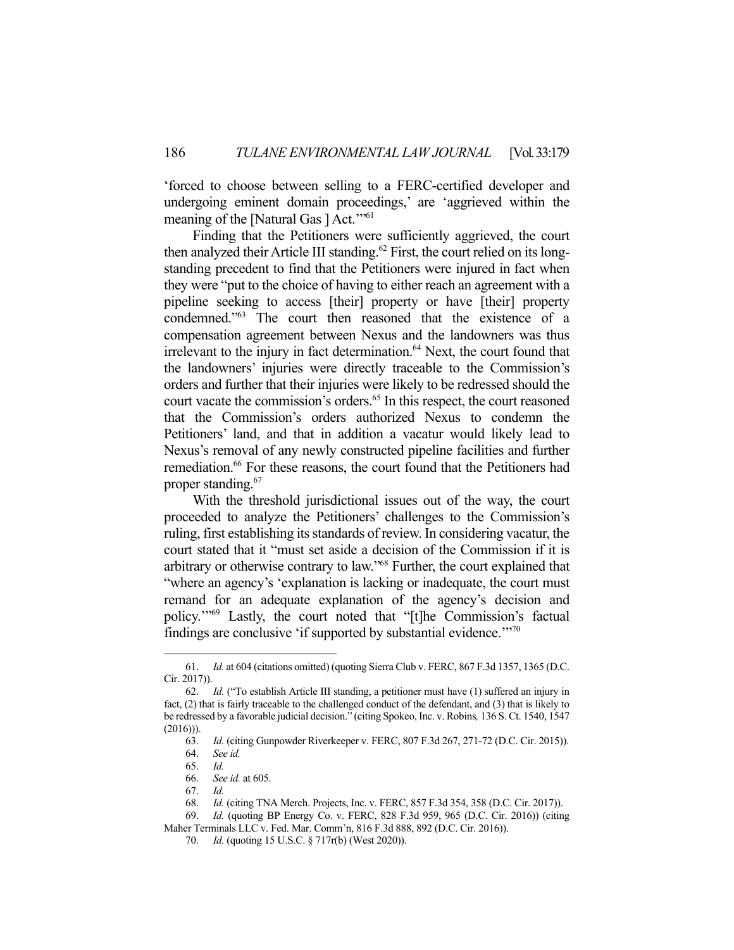'forced to choose between selling to a FERC-certified developer and undergoing eminent domain proceedings,' are 'aggrieved within the meaning of the [Natural Gas ] Act."<sup>61</sup>

 Finding that the Petitioners were sufficiently aggrieved, the court then analyzed their Article III standing.<sup>62</sup> First, the court relied on its longstanding precedent to find that the Petitioners were injured in fact when they were "put to the choice of having to either reach an agreement with a pipeline seeking to access [their] property or have [their] property condemned."63 The court then reasoned that the existence of a compensation agreement between Nexus and the landowners was thus irrelevant to the injury in fact determination.<sup>64</sup> Next, the court found that the landowners' injuries were directly traceable to the Commission's orders and further that their injuries were likely to be redressed should the court vacate the commission's orders.<sup>65</sup> In this respect, the court reasoned that the Commission's orders authorized Nexus to condemn the Petitioners' land, and that in addition a vacatur would likely lead to Nexus's removal of any newly constructed pipeline facilities and further remediation.<sup>66</sup> For these reasons, the court found that the Petitioners had proper standing.<sup>67</sup>

 With the threshold jurisdictional issues out of the way, the court proceeded to analyze the Petitioners' challenges to the Commission's ruling, first establishing its standards of review. In considering vacatur, the court stated that it "must set aside a decision of the Commission if it is arbitrary or otherwise contrary to law."68 Further, the court explained that "where an agency's 'explanation is lacking or inadequate, the court must remand for an adequate explanation of the agency's decision and policy.'"69 Lastly, the court noted that "[t]he Commission's factual findings are conclusive 'if supported by substantial evidence."<sup>70</sup>

 <sup>61.</sup> *Id.* at 604 (citations omitted) (quoting Sierra Club v. FERC, 867 F.3d 1357, 1365 (D.C. Cir. 2017)).

 <sup>62.</sup> *Id.* ("To establish Article III standing, a petitioner must have (1) suffered an injury in fact, (2) that is fairly traceable to the challenged conduct of the defendant, and (3) that is likely to be redressed by a favorable judicial decision." (citing Spokeo, Inc. v. Robins*,* 136 S. Ct. 1540, 1547  $(2016)$ ).

 <sup>63.</sup> *Id.* (citing Gunpowder Riverkeeper v. FERC, 807 F.3d 267, 271-72 (D.C. Cir. 2015)).

 <sup>64.</sup> *See id.* 

 <sup>65.</sup> *Id.*  66. *See id.* at 605.

 <sup>67.</sup> *Id.* 

 <sup>68.</sup> *Id.* (citing TNA Merch. Projects, Inc. v. FERC, 857 F.3d 354, 358 (D.C. Cir. 2017)).

 <sup>69.</sup> *Id.* (quoting BP Energy Co. v. FERC, 828 F.3d 959, 965 (D.C. Cir. 2016)) (citing

Maher Terminals LLC v. Fed. Mar. Comm'n, 816 F.3d 888, 892 (D.C. Cir. 2016)).

 <sup>70.</sup> *Id.* (quoting 15 U.S.C. § 717r(b) (West 2020)).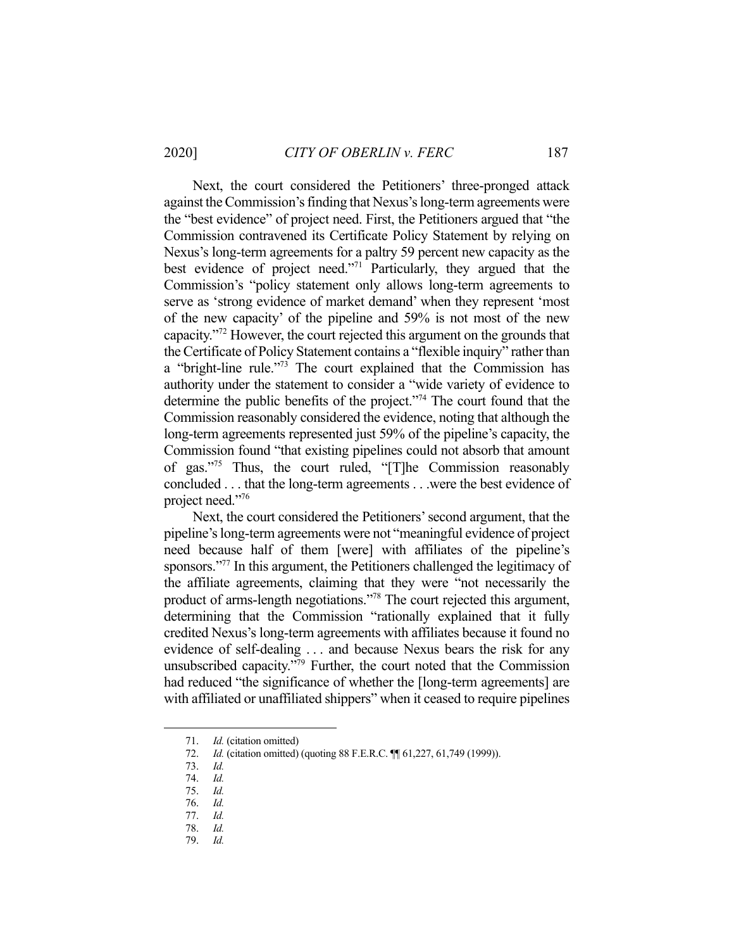Next, the court considered the Petitioners' three-pronged attack against the Commission's finding that Nexus's long-term agreements were the "best evidence" of project need. First, the Petitioners argued that "the Commission contravened its Certificate Policy Statement by relying on Nexus's long-term agreements for a paltry 59 percent new capacity as the best evidence of project need."71 Particularly, they argued that the Commission's "policy statement only allows long-term agreements to serve as 'strong evidence of market demand' when they represent 'most of the new capacity' of the pipeline and 59% is not most of the new capacity."72 However, the court rejected this argument on the grounds that the Certificate of Policy Statement contains a "flexible inquiry" rather than a "bright-line rule."73 The court explained that the Commission has authority under the statement to consider a "wide variety of evidence to determine the public benefits of the project."74 The court found that the Commission reasonably considered the evidence, noting that although the long-term agreements represented just 59% of the pipeline's capacity, the Commission found "that existing pipelines could not absorb that amount of gas."75 Thus, the court ruled, "[T]he Commission reasonably concluded . . . that the long-term agreements . . .were the best evidence of project need."76

 Next, the court considered the Petitioners' second argument, that the pipeline's long-term agreements were not "meaningful evidence of project need because half of them [were] with affiliates of the pipeline's sponsors."<sup>77</sup> In this argument, the Petitioners challenged the legitimacy of the affiliate agreements, claiming that they were "not necessarily the product of arms-length negotiations."<sup>78</sup> The court rejected this argument, determining that the Commission "rationally explained that it fully credited Nexus's long-term agreements with affiliates because it found no evidence of self-dealing . . . and because Nexus bears the risk for any unsubscribed capacity."<sup>79</sup> Further, the court noted that the Commission had reduced "the significance of whether the [long-term agreements] are with affiliated or unaffiliated shippers" when it ceased to require pipelines

 <sup>71.</sup> *Id.* (citation omitted)

<sup>72.</sup> *Id.* (citation omitted) (quoting 88 F.E.R.C. **[1]** 61,227, 61,749 (1999)).

 <sup>73.</sup> *Id.*

 <sup>74.</sup> *Id.* 

 <sup>75.</sup> *Id.* 

 <sup>76.</sup> *Id.* 

 <sup>77.</sup> *Id.* 

 <sup>78.</sup> *Id.* 

 <sup>79.</sup> *Id.*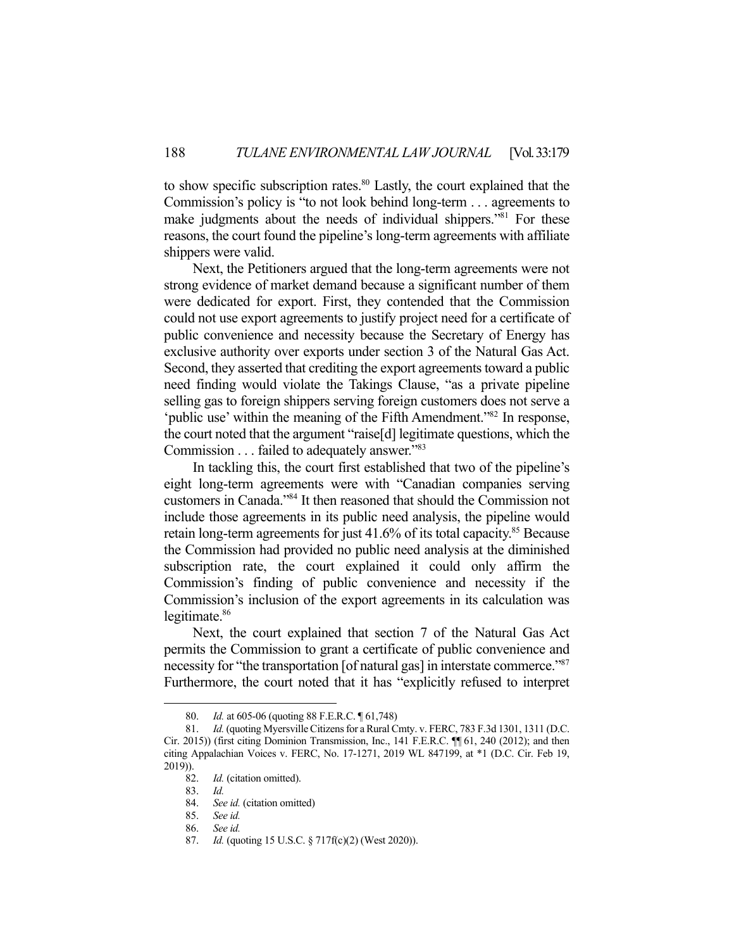to show specific subscription rates.<sup>80</sup> Lastly, the court explained that the Commission's policy is "to not look behind long-term . . . agreements to make judgments about the needs of individual shippers."<sup>81</sup> For these reasons, the court found the pipeline's long-term agreements with affiliate shippers were valid.

 Next, the Petitioners argued that the long-term agreements were not strong evidence of market demand because a significant number of them were dedicated for export. First, they contended that the Commission could not use export agreements to justify project need for a certificate of public convenience and necessity because the Secretary of Energy has exclusive authority over exports under section 3 of the Natural Gas Act. Second, they asserted that crediting the export agreements toward a public need finding would violate the Takings Clause, "as a private pipeline selling gas to foreign shippers serving foreign customers does not serve a 'public use' within the meaning of the Fifth Amendment."82 In response, the court noted that the argument "raise[d] legitimate questions, which the Commission . . . failed to adequately answer."<sup>83</sup>

 In tackling this, the court first established that two of the pipeline's eight long-term agreements were with "Canadian companies serving customers in Canada."84 It then reasoned that should the Commission not include those agreements in its public need analysis, the pipeline would retain long-term agreements for just  $41.6\%$  of its total capacity.<sup>85</sup> Because the Commission had provided no public need analysis at the diminished subscription rate, the court explained it could only affirm the Commission's finding of public convenience and necessity if the Commission's inclusion of the export agreements in its calculation was legitimate.<sup>86</sup>

 Next, the court explained that section 7 of the Natural Gas Act permits the Commission to grant a certificate of public convenience and necessity for "the transportation [of natural gas] in interstate commerce."<sup>87</sup> Furthermore, the court noted that it has "explicitly refused to interpret

 <sup>80.</sup> *Id.* at 605-06 (quoting 88 F.E.R.C. ¶ 61,748)

 <sup>81.</sup> *Id.* (quoting Myersville Citizens for a Rural Cmty. v. FERC, 783 F.3d 1301, 1311 (D.C. Cir. 2015)) (first citing Dominion Transmission, Inc., 141 F.E.R.C. ¶¶ 61, 240 (2012); and then citing Appalachian Voices v. FERC, No. 17-1271, 2019 WL 847199, at \*1 (D.C. Cir. Feb 19, 2019)).

 <sup>82.</sup> *Id.* (citation omitted).

 <sup>83.</sup> *Id.* 

 <sup>84.</sup> *See id.* (citation omitted)

 <sup>85.</sup> *See id.* 

 <sup>86.</sup> *See id.* 

 <sup>87.</sup> *Id.* (quoting 15 U.S.C. § 717f(c)(2) (West 2020)).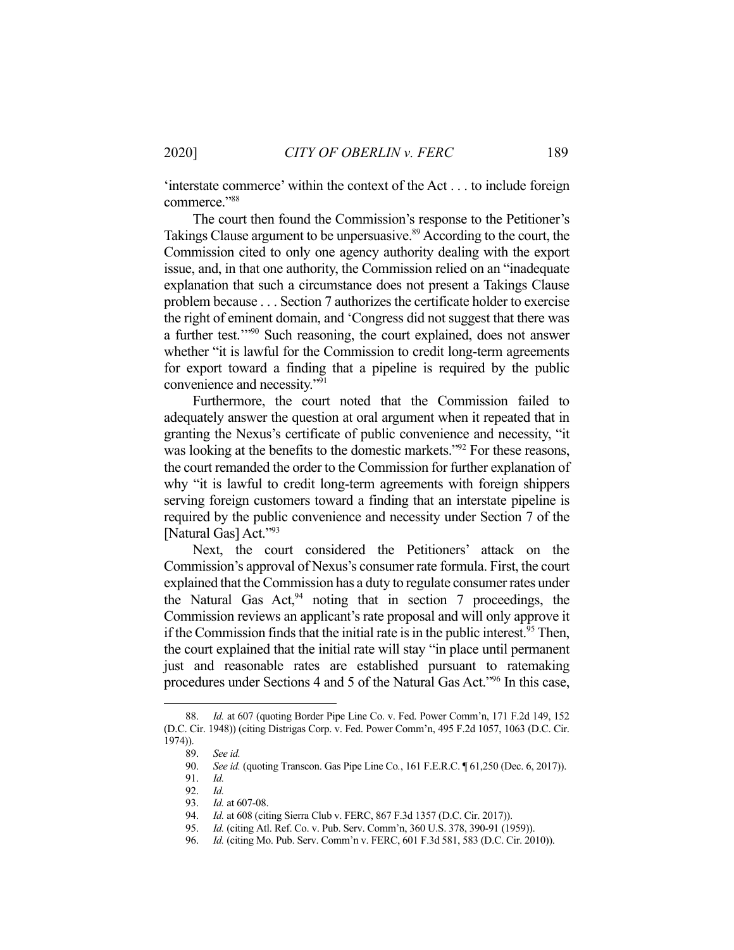'interstate commerce' within the context of the Act . . . to include foreign commerce."88

 The court then found the Commission's response to the Petitioner's Takings Clause argument to be unpersuasive.<sup>89</sup> According to the court, the Commission cited to only one agency authority dealing with the export issue, and, in that one authority, the Commission relied on an "inadequate explanation that such a circumstance does not present a Takings Clause problem because . . . Section 7 authorizes the certificate holder to exercise the right of eminent domain, and 'Congress did not suggest that there was a further test.'"90 Such reasoning, the court explained, does not answer whether "it is lawful for the Commission to credit long-term agreements for export toward a finding that a pipeline is required by the public convenience and necessity."91

 Furthermore, the court noted that the Commission failed to adequately answer the question at oral argument when it repeated that in granting the Nexus's certificate of public convenience and necessity, "it was looking at the benefits to the domestic markets."<sup>92</sup> For these reasons, the court remanded the order to the Commission for further explanation of why "it is lawful to credit long-term agreements with foreign shippers serving foreign customers toward a finding that an interstate pipeline is required by the public convenience and necessity under Section 7 of the [Natural Gas] Act."93

 Next, the court considered the Petitioners' attack on the Commission's approval of Nexus's consumer rate formula. First, the court explained that the Commission has a duty to regulate consumer rates under the Natural Gas  $Act<sub>2</sub><sup>94</sup>$  noting that in section 7 proceedings, the Commission reviews an applicant's rate proposal and will only approve it if the Commission finds that the initial rate is in the public interest.<sup>95</sup> Then, the court explained that the initial rate will stay "in place until permanent just and reasonable rates are established pursuant to ratemaking procedures under Sections 4 and 5 of the Natural Gas Act."96 In this case,

 <sup>88.</sup> *Id.* at 607 (quoting Border Pipe Line Co. v. Fed. Power Comm'n, 171 F.2d 149, 152 (D.C. Cir. 1948)) (citing Distrigas Corp. v. Fed. Power Comm'n, 495 F.2d 1057, 1063 (D.C. Cir. 1974)).

 <sup>89.</sup> *See id.* 

 <sup>90.</sup> *See id.* (quoting Transcon. Gas Pipe Line Co*.*, 161 F.E.R.C. ¶ 61,250 (Dec. 6, 2017)).

 <sup>91.</sup> *Id.* 

 <sup>92.</sup> *Id.* 

 <sup>93.</sup> *Id.* at 607-08.

<sup>94.</sup> *Id.* at 608 (citing Sierra Club v. FERC, 867 F.3d 1357 (D.C. Cir. 2017)).

 <sup>95.</sup> *Id.* (citing Atl. Ref. Co. v. Pub. Serv. Comm'n, 360 U.S. 378, 390-91 (1959)).

 <sup>96.</sup> *Id.* (citing Mo. Pub. Serv. Comm'n v. FERC, 601 F.3d 581, 583 (D.C. Cir. 2010)).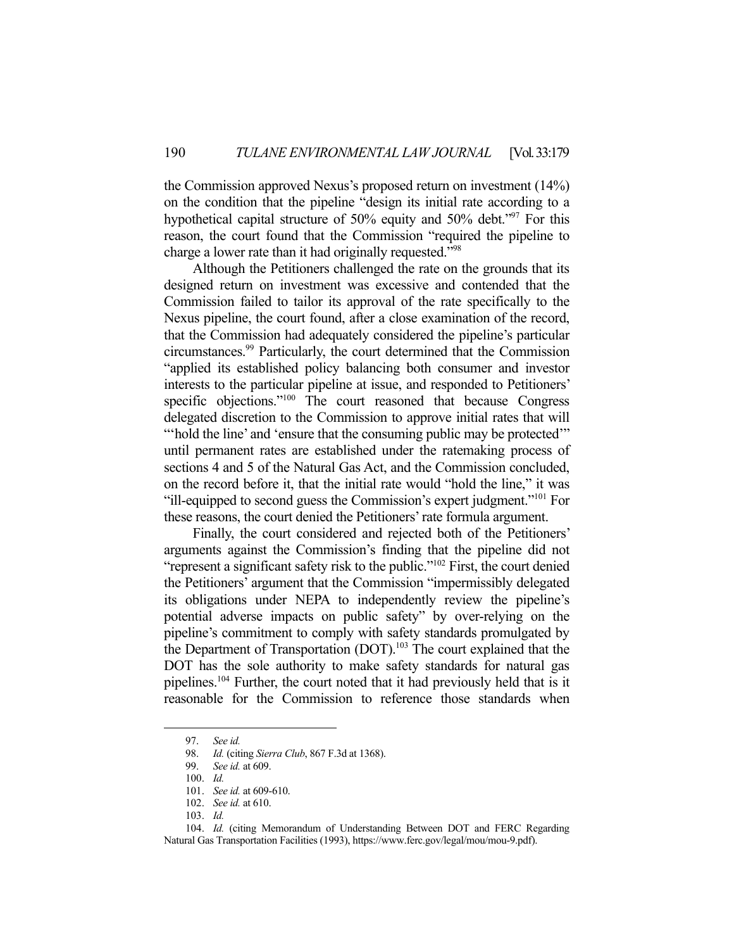the Commission approved Nexus's proposed return on investment (14%) on the condition that the pipeline "design its initial rate according to a hypothetical capital structure of 50% equity and 50% debt."<sup>97</sup> For this reason, the court found that the Commission "required the pipeline to charge a lower rate than it had originally requested."98

 Although the Petitioners challenged the rate on the grounds that its designed return on investment was excessive and contended that the Commission failed to tailor its approval of the rate specifically to the Nexus pipeline, the court found, after a close examination of the record, that the Commission had adequately considered the pipeline's particular circumstances.99 Particularly, the court determined that the Commission "applied its established policy balancing both consumer and investor interests to the particular pipeline at issue, and responded to Petitioners' specific objections."<sup>100</sup> The court reasoned that because Congress delegated discretion to the Commission to approve initial rates that will "hold the line' and 'ensure that the consuming public may be protected" until permanent rates are established under the ratemaking process of sections 4 and 5 of the Natural Gas Act, and the Commission concluded, on the record before it, that the initial rate would "hold the line," it was "ill-equipped to second guess the Commission's expert judgment."101 For these reasons, the court denied the Petitioners' rate formula argument.

 Finally, the court considered and rejected both of the Petitioners' arguments against the Commission's finding that the pipeline did not "represent a significant safety risk to the public."<sup>102</sup> First, the court denied the Petitioners' argument that the Commission "impermissibly delegated its obligations under NEPA to independently review the pipeline's potential adverse impacts on public safety" by over-relying on the pipeline's commitment to comply with safety standards promulgated by the Department of Transportation (DOT).<sup>103</sup> The court explained that the DOT has the sole authority to make safety standards for natural gas pipelines.104 Further, the court noted that it had previously held that is it reasonable for the Commission to reference those standards when

 <sup>97.</sup> *See id.*

 <sup>98.</sup> *Id.* (citing *Sierra Club*, 867 F.3d at 1368).

 <sup>99.</sup> *See id.* at 609.

 <sup>100.</sup> *Id.* 

 <sup>101.</sup> *See id.* at 609-610.

 <sup>102.</sup> *See id.* at 610.

 <sup>103.</sup> *Id.* 

 <sup>104.</sup> *Id.* (citing Memorandum of Understanding Between DOT and FERC Regarding Natural Gas Transportation Facilities (1993), https://www.ferc.gov/legal/mou/mou-9.pdf).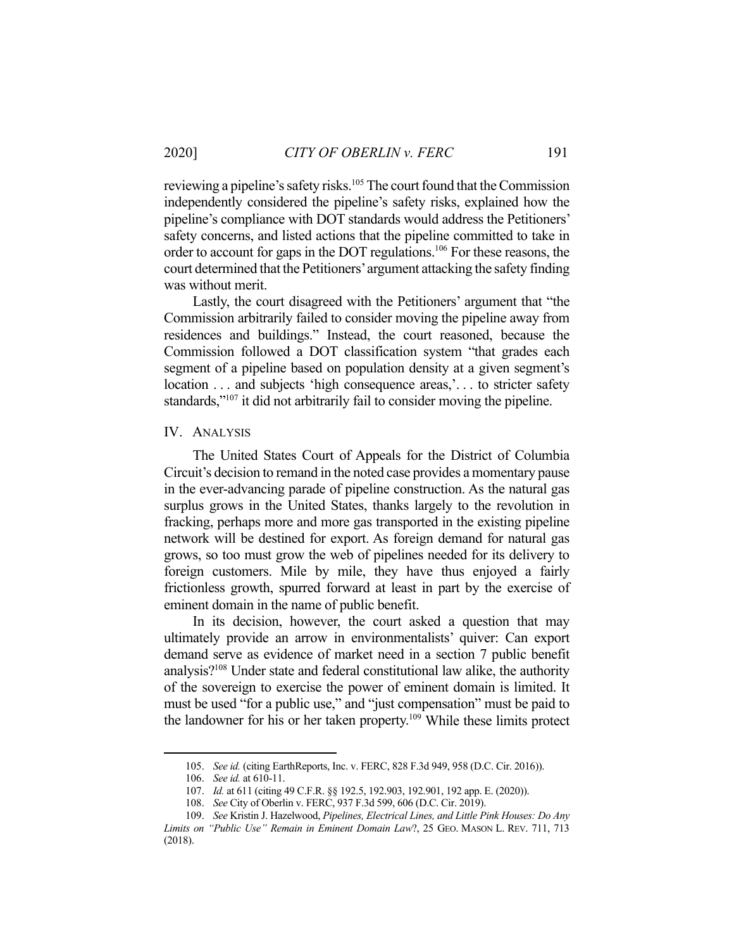reviewing a pipeline's safety risks.<sup>105</sup> The court found that the Commission independently considered the pipeline's safety risks, explained how the pipeline's compliance with DOT standards would address the Petitioners' safety concerns, and listed actions that the pipeline committed to take in order to account for gaps in the DOT regulations.106 For these reasons, the court determined that the Petitioners' argument attacking the safety finding was without merit.

 Lastly, the court disagreed with the Petitioners' argument that "the Commission arbitrarily failed to consider moving the pipeline away from residences and buildings." Instead, the court reasoned, because the Commission followed a DOT classification system "that grades each segment of a pipeline based on population density at a given segment's location ... and subjects 'high consequence areas,'... to stricter safety standards,"<sup>107</sup> it did not arbitrarily fail to consider moving the pipeline.

#### IV. ANALYSIS

The United States Court of Appeals for the District of Columbia Circuit's decision to remand in the noted case provides a momentary pause in the ever-advancing parade of pipeline construction. As the natural gas surplus grows in the United States, thanks largely to the revolution in fracking, perhaps more and more gas transported in the existing pipeline network will be destined for export. As foreign demand for natural gas grows, so too must grow the web of pipelines needed for its delivery to foreign customers. Mile by mile, they have thus enjoyed a fairly frictionless growth, spurred forward at least in part by the exercise of eminent domain in the name of public benefit.

 In its decision, however, the court asked a question that may ultimately provide an arrow in environmentalists' quiver: Can export demand serve as evidence of market need in a section 7 public benefit analysis?108 Under state and federal constitutional law alike, the authority of the sovereign to exercise the power of eminent domain is limited. It must be used "for a public use," and "just compensation" must be paid to the landowner for his or her taken property.109 While these limits protect

 <sup>105.</sup> *See id.* (citing EarthReports, Inc. v. FERC, 828 F.3d 949, 958 (D.C. Cir. 2016)).

 <sup>106.</sup> *See id.* at 610-11.

 <sup>107.</sup> *Id.* at 611 (citing 49 C.F.R. §§ 192.5, 192.903, 192.901, 192 app. E. (2020)).

 <sup>108.</sup> *See* City of Oberlin v. FERC, 937 F.3d 599, 606 (D.C. Cir. 2019).

 <sup>109.</sup> *See* Kristin J. Hazelwood, *Pipelines, Electrical Lines, and Little Pink Houses: Do Any Limits on "Public Use" Remain in Eminent Domain Law*?, 25 GEO. MASON L. REV. 711, 713 (2018).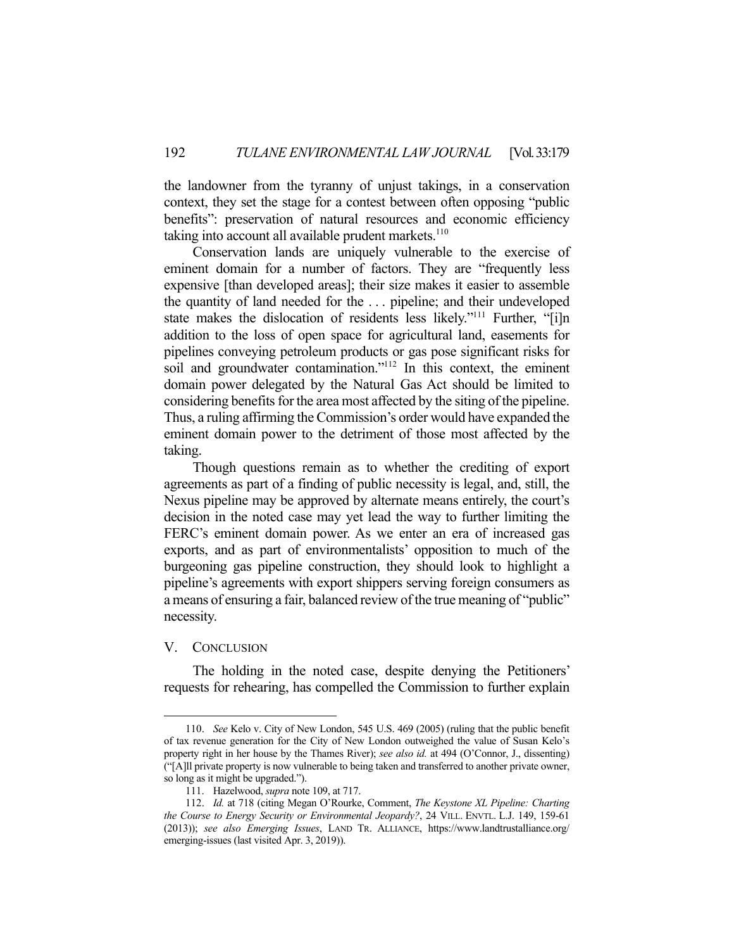the landowner from the tyranny of unjust takings, in a conservation context, they set the stage for a contest between often opposing "public benefits": preservation of natural resources and economic efficiency taking into account all available prudent markets. $110$ 

 Conservation lands are uniquely vulnerable to the exercise of eminent domain for a number of factors. They are "frequently less expensive [than developed areas]; their size makes it easier to assemble the quantity of land needed for the . . . pipeline; and their undeveloped state makes the dislocation of residents less likely."111 Further, "[i]n addition to the loss of open space for agricultural land, easements for pipelines conveying petroleum products or gas pose significant risks for soil and groundwater contamination."<sup>112</sup> In this context, the eminent domain power delegated by the Natural Gas Act should be limited to considering benefits for the area most affected by the siting of the pipeline. Thus, a ruling affirming the Commission's order would have expanded the eminent domain power to the detriment of those most affected by the taking.

 Though questions remain as to whether the crediting of export agreements as part of a finding of public necessity is legal, and, still, the Nexus pipeline may be approved by alternate means entirely, the court's decision in the noted case may yet lead the way to further limiting the FERC's eminent domain power. As we enter an era of increased gas exports, and as part of environmentalists' opposition to much of the burgeoning gas pipeline construction, they should look to highlight a pipeline's agreements with export shippers serving foreign consumers as a means of ensuring a fair, balanced review of the true meaning of "public" necessity.

# V. CONCLUSION

 The holding in the noted case, despite denying the Petitioners' requests for rehearing, has compelled the Commission to further explain

 <sup>110.</sup> *See* Kelo v. City of New London, 545 U.S. 469 (2005) (ruling that the public benefit of tax revenue generation for the City of New London outweighed the value of Susan Kelo's property right in her house by the Thames River); *see also id.* at 494 (O'Connor, J., dissenting) ("[A]ll private property is now vulnerable to being taken and transferred to another private owner, so long as it might be upgraded.").

 <sup>111.</sup> Hazelwood, *supra* note 109, at 717.

 <sup>112.</sup> *Id.* at 718 (citing Megan O'Rourke, Comment, *The Keystone XL Pipeline: Charting the Course to Energy Security or Environmental Jeopardy?*, 24 VILL. ENVTL. L.J. 149, 159-61 (2013)); *see also Emerging Issues*, LAND TR. ALLIANCE, https://www.landtrustalliance.org/ emerging-issues (last visited Apr. 3, 2019)).